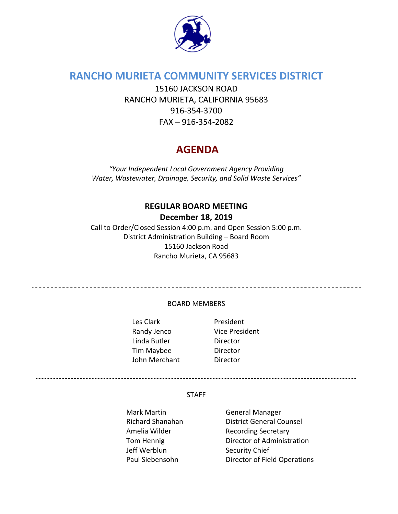

# **RANCHO MURIETA COMMUNITY SERVICES DISTRICT**

15160 JACKSON ROAD RANCHO MURIETA, CALIFORNIA 95683 916‐354‐3700 FAX – 916‐354‐2082

# **AGENDA**

*"Your Independent Local Government Agency Providing Water, Wastewater, Drainage, Security, and Solid Waste Services"*

## **REGULAR BOARD MEETING**

## **December 18, 2019**

Call to Order/Closed Session 4:00 p.m. and Open Session 5:00 p.m. District Administration Building – Board Room 15160 Jackson Road Rancho Murieta, CA 95683

#### BOARD MEMBERS

Les Clark **and President** Randy Jenco Vice President Linda Butler **Director** Tim Maybee Director John Merchant **Director** 

\_\_\_\_\_\_\_\_\_\_\_\_\_\_\_\_\_\_\_\_\_\_\_\_\_\_\_\_\_\_\_\_\_\_\_\_

#### STAFF

Mark Martin **Carlo Accept Manager** General Manager Jeff Werblun Security Chief

Richard Shanahan District General Counsel Amelia Wilder Recording Secretary Tom Hennig **Director of Administration** Paul Siebensohn Director of Field Operations

-------------------------------------------------------------------------------------------------------------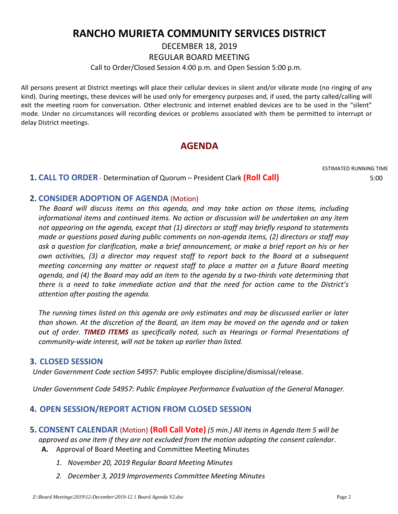# **RANCHO MURIETA COMMUNITY SERVICES DISTRICT**

DECEMBER 18, 2019

REGULAR BOARD MEETING

Call to Order/Closed Session 4:00 p.m. and Open Session 5:00 p.m.

All persons present at District meetings will place their cellular devices in silent and/or vibrate mode (no ringing of any kind). During meetings, these devices will be used only for emergency purposes and, if used, the party called/calling will exit the meeting room for conversation. Other electronic and internet enabled devices are to be used in the "silent" mode. Under no circumstances will recording devices or problems associated with them be permitted to interrupt or delay District meetings.

# **AGENDA**

ESTIMATED RUNNING TIME

## **1. CALL TO ORDER** ‐ Determination of Quorum – President Clark **(Roll Call)** 5:00

## **2. CONSIDER ADOPTION OF AGENDA** (Motion)

*The Board will discuss items on this agenda, and may take action on those items, including informational items and continued items. No action or discussion will be undertaken on any item not appearing on the agenda, except that (1) directors or staff may briefly respond to statements made or questions posed during public comments on non‐agenda items, (2) directors or staff may ask a question for clarification, make a brief announcement, or make a brief report on his or her own activities, (3) a director may request staff to report back to the Board at a subsequent meeting concerning any matter or request staff to place a matter on a future Board meeting* agenda, and (4) the Board may add an item to the agenda by a two-thirds vote determining that *there is a need to take immediate action and that the need for action came to the District's attention after posting the agenda.*

*The running times listed on this agenda are only estimates and may be discussed earlier or later than shown. At the discretion of the Board, an item may be moved on the agenda and or taken out of order. TIMED ITEMS as specifically noted, such as Hearings or Formal Presentations of community‐wide interest, will not be taken up earlier than listed.*

#### **3. CLOSED SESSION**

*Under Government Code section 54957:* Public employee discipline/dismissal/release.

*Under Government Code 54957: Public Employee Performance Evaluation of the General Manager.*

## **4. OPEN SESSION/REPORT ACTION FROM CLOSED SESSION**

- **5. CONSENT CALENDAR** (Motion) **(Roll Call Vote)** *(5 min.) All items in Agenda Item 5 will be approved as one item if they are not excluded from the motion adopting the consent calendar*. **A.** Approval of Board Meeting and Committee Meeting Minutes
	- *1. November 20, 2019 Regular Board Meeting Minutes*
	- *2. December 3, 2019 Improvements Committee Meeting Minutes*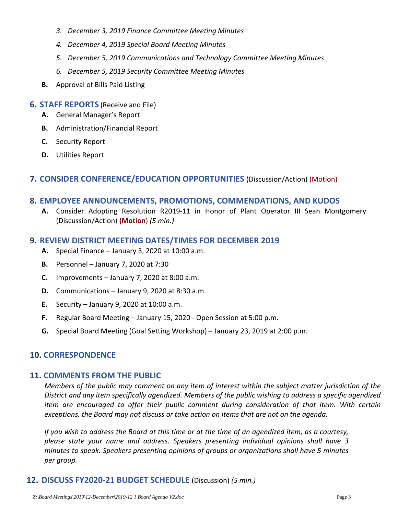- *3. December 3, 2019 Finance Committee Meeting Minutes*
- *4. December 4, 2019 Special Board Meeting Minutes*
- *5. December 5, 2019 Communications and Technology Committee Meeting Minutes*
- *6. December 5, 2019 Security Committee Meeting Minutes*
- **B.** Approval of Bills Paid Listing

#### **6. STAFF REPORTS** (Receive and File)

- **A.** General Manager's Report
- **B.** Administration/Financial Report
- **C.** Security Report
- **D.** Utilities Report

#### **7. CONSIDER CONFERENCE/EDUCATION OPPORTUNITIES** (Discussion/Action) (Motion)

#### **8. EMPLOYEE ANNOUNCEMENTS, PROMOTIONS, COMMENDATIONS, AND KUDOS**

**A.** Consider Adopting Resolution R2019‐11 in Honor of Plant Operator III Sean Montgomery (Discussion/Action) **(Motion**) *(5 min.)*

#### **9. REVIEW DISTRICT MEETING DATES/TIMES FOR DECEMBER 2019**

- **A.** Special Finance January 3, 2020 at 10:00 a.m.
- **B.** Personnel January 7, 2020 at 7:30
- **C.** Improvements January 7, 2020 at 8:00 a.m.
- **D.** Communications January 9, 2020 at 8:30 a.m.
- **E.** Security January 9, 2020 at 10:00 a.m.
- **F.** Regular Board Meeting January 15, 2020 ‐ Open Session at 5:00 p.m.
- **G.** Special Board Meeting (Goal Setting Workshop) January 23, 2019 at 2:00 p.m.

#### **10. CORRESPONDENCE**

#### **11. COMMENTS FROM THE PUBLIC**

Members of the public may comment on any item of interest within the subject matter jurisdiction of the *District and any item specifically agendized. Members of the public wishing to address a specific agendized item are encouraged to offer their public comment during consideration of that item. With certain exceptions, the Board may not discuss or take action on items that are not on the agenda.* 

If you wish to address the Board at this time or at the time of an agendized item, as a courtesy, *please state your name and address. Speakers presenting individual opinions shall have 3 minutes to speak. Speakers presenting opinions of groups or organizations shall have 5 minutes per group.*

## **12. DISCUSS FY2020‐21 BUDGET SCHEDULE** (Discussion) *(5 min.)*